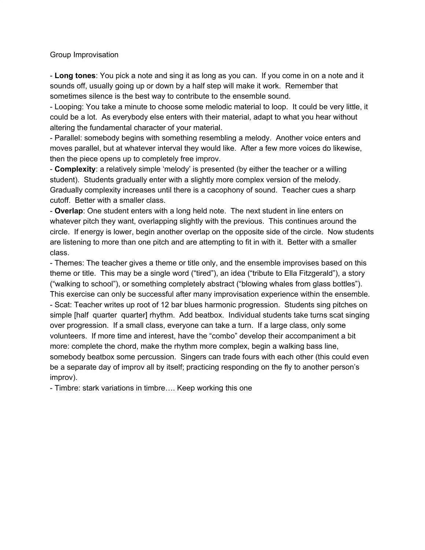## Group Improvisation

- **Long tones**: You pick a note and sing it as long as you can. If you come in on a note and it sounds off, usually going up or down by a half step will make it work. Remember that sometimes silence is the best way to contribute to the ensemble sound.

- Looping: You take a minute to choose some melodic material to loop. It could be very little, it could be a lot. As everybody else enters with their material, adapt to what you hear without altering the fundamental character of your material.

- Parallel: somebody begins with something resembling a melody. Another voice enters and moves parallel, but at whatever interval they would like. After a few more voices do likewise, then the piece opens up to completely free improv.

- **Complexity**: a relatively simple 'melody' is presented (by either the teacher or a willing student). Students gradually enter with a slightly more complex version of the melody. Gradually complexity increases until there is a cacophony of sound. Teacher cues a sharp cutoff. Better with a smaller class.

- **Overlap**: One student enters with a long held note. The next student in line enters on whatever pitch they want, overlapping slightly with the previous. This continues around the circle. If energy is lower, begin another overlap on the opposite side of the circle. Now students are listening to more than one pitch and are attempting to fit in with it. Better with a smaller class.

- Themes: The teacher gives a theme or title only, and the ensemble improvises based on this theme or title. This may be a single word ("tired"), an idea ("tribute to Ella Fitzgerald"), a story ("walking to school"), or something completely abstract ("blowing whales from glass bottles"). This exercise can only be successful after many improvisation experience within the ensemble. - Scat: Teacher writes up root of 12 bar blues harmonic progression. Students sing pitches on simple [half quarter quarter] rhythm. Add beatbox. Individual students take turns scat singing over progression. If a small class, everyone can take a turn. If a large class, only some volunteers. If more time and interest, have the "combo" develop their accompaniment a bit more: complete the chord, make the rhythm more complex, begin a walking bass line, somebody beatbox some percussion. Singers can trade fours with each other (this could even be a separate day of improv all by itself; practicing responding on the fly to another person's improv).

- Timbre: stark variations in timbre…. Keep working this one